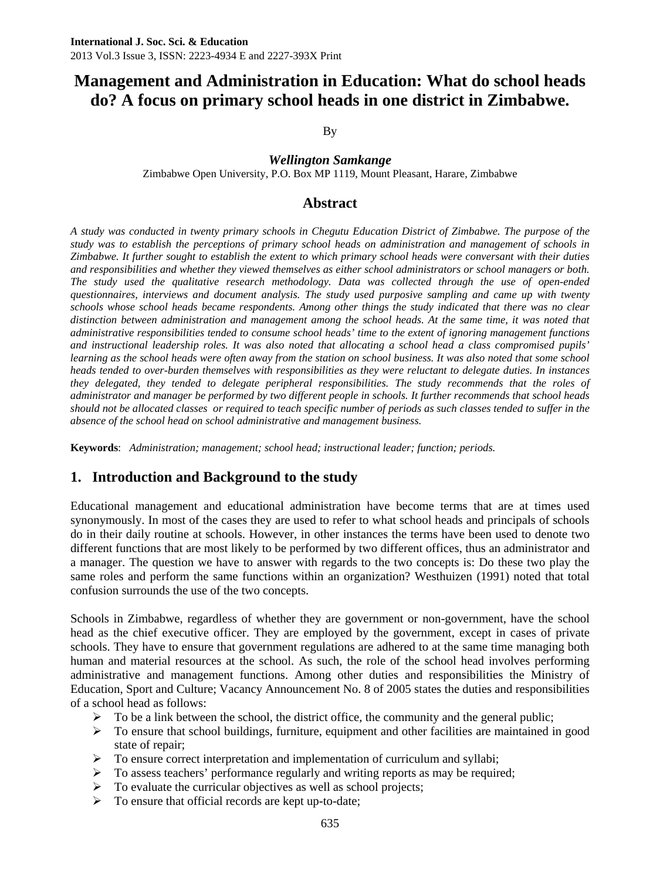By

*Wellington Samkange* 

Zimbabwe Open University, P.O. Box MP 1119, Mount Pleasant, Harare, Zimbabwe

# **Abstract**

*A study was conducted in twenty primary schools in Chegutu Education District of Zimbabwe. The purpose of the study was to establish the perceptions of primary school heads on administration and management of schools in Zimbabwe. It further sought to establish the extent to which primary school heads were conversant with their duties and responsibilities and whether they viewed themselves as either school administrators or school managers or both. The study used the qualitative research methodology. Data was collected through the use of open-ended questionnaires, interviews and document analysis. The study used purposive sampling and came up with twenty schools whose school heads became respondents. Among other things the study indicated that there was no clear*  distinction between administration and management among the school heads. At the same time, it was noted that *administrative responsibilities tended to consume school heads' time to the extent of ignoring management functions and instructional leadership roles. It was also noted that allocating a school head a class compromised pupils' learning as the school heads were often away from the station on school business. It was also noted that some school heads tended to over-burden themselves with responsibilities as they were reluctant to delegate duties. In instances they delegated, they tended to delegate peripheral responsibilities. The study recommends that the roles of administrator and manager be performed by two different people in schools. It further recommends that school heads should not be allocated classes or required to teach specific number of periods as such classes tended to suffer in the absence of the school head on school administrative and management business.* 

**Keywords**: *Administration; management; school head; instructional leader; function; periods.*

# **1. Introduction and Background to the study**

Educational management and educational administration have become terms that are at times used synonymously. In most of the cases they are used to refer to what school heads and principals of schools do in their daily routine at schools. However, in other instances the terms have been used to denote two different functions that are most likely to be performed by two different offices, thus an administrator and a manager. The question we have to answer with regards to the two concepts is: Do these two play the same roles and perform the same functions within an organization? Westhuizen (1991) noted that total confusion surrounds the use of the two concepts.

Schools in Zimbabwe, regardless of whether they are government or non-government, have the school head as the chief executive officer. They are employed by the government, except in cases of private schools. They have to ensure that government regulations are adhered to at the same time managing both human and material resources at the school. As such, the role of the school head involves performing administrative and management functions. Among other duties and responsibilities the Ministry of Education, Sport and Culture; Vacancy Announcement No. 8 of 2005 states the duties and responsibilities of a school head as follows:

- $\triangleright$  To be a link between the school, the district office, the community and the general public;
- $\triangleright$  To ensure that school buildings, furniture, equipment and other facilities are maintained in good state of repair;
- $\triangleright$  To ensure correct interpretation and implementation of curriculum and syllabi;
- $\triangleright$  To assess teachers' performance regularly and writing reports as may be required;
- $\triangleright$  To evaluate the curricular objectives as well as school projects;
- $\triangleright$  To ensure that official records are kept up-to-date;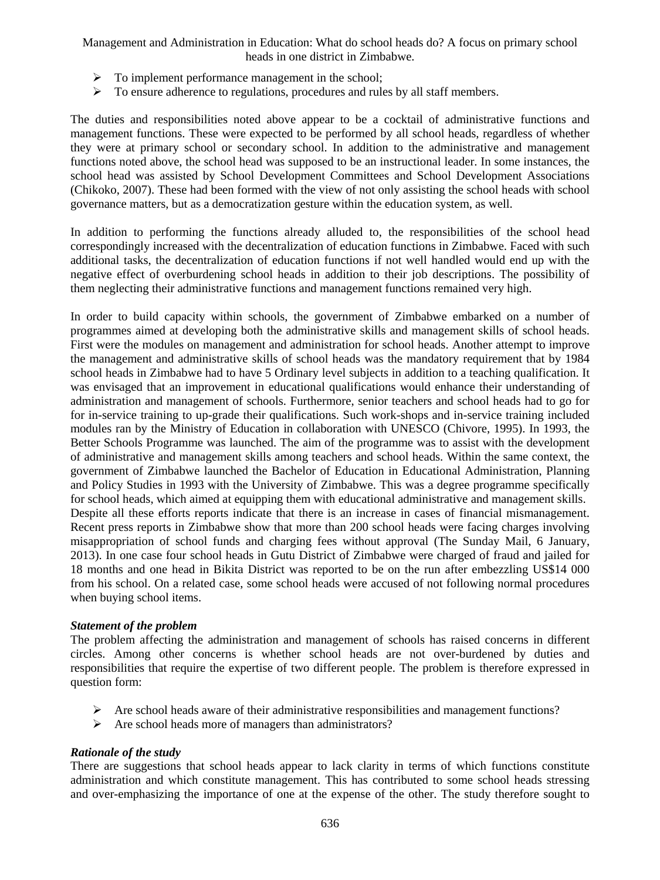- $\triangleright$  To implement performance management in the school;
- $\triangleright$  To ensure adherence to regulations, procedures and rules by all staff members.

The duties and responsibilities noted above appear to be a cocktail of administrative functions and management functions. These were expected to be performed by all school heads, regardless of whether they were at primary school or secondary school. In addition to the administrative and management functions noted above, the school head was supposed to be an instructional leader. In some instances, the school head was assisted by School Development Committees and School Development Associations (Chikoko, 2007). These had been formed with the view of not only assisting the school heads with school governance matters, but as a democratization gesture within the education system, as well.

In addition to performing the functions already alluded to, the responsibilities of the school head correspondingly increased with the decentralization of education functions in Zimbabwe. Faced with such additional tasks, the decentralization of education functions if not well handled would end up with the negative effect of overburdening school heads in addition to their job descriptions. The possibility of them neglecting their administrative functions and management functions remained very high.

In order to build capacity within schools, the government of Zimbabwe embarked on a number of programmes aimed at developing both the administrative skills and management skills of school heads. First were the modules on management and administration for school heads. Another attempt to improve the management and administrative skills of school heads was the mandatory requirement that by 1984 school heads in Zimbabwe had to have 5 Ordinary level subjects in addition to a teaching qualification. It was envisaged that an improvement in educational qualifications would enhance their understanding of administration and management of schools. Furthermore, senior teachers and school heads had to go for for in-service training to up-grade their qualifications. Such work-shops and in-service training included modules ran by the Ministry of Education in collaboration with UNESCO (Chivore, 1995). In 1993, the Better Schools Programme was launched. The aim of the programme was to assist with the development of administrative and management skills among teachers and school heads. Within the same context, the government of Zimbabwe launched the Bachelor of Education in Educational Administration, Planning and Policy Studies in 1993 with the University of Zimbabwe. This was a degree programme specifically for school heads, which aimed at equipping them with educational administrative and management skills. Despite all these efforts reports indicate that there is an increase in cases of financial mismanagement. Recent press reports in Zimbabwe show that more than 200 school heads were facing charges involving misappropriation of school funds and charging fees without approval (The Sunday Mail, 6 January, 2013). In one case four school heads in Gutu District of Zimbabwe were charged of fraud and jailed for 18 months and one head in Bikita District was reported to be on the run after embezzling US\$14 000 from his school. On a related case, some school heads were accused of not following normal procedures when buying school items.

#### *Statement of the problem*

The problem affecting the administration and management of schools has raised concerns in different circles. Among other concerns is whether school heads are not over-burdened by duties and responsibilities that require the expertise of two different people. The problem is therefore expressed in question form:

- $\triangleright$  Are school heads aware of their administrative responsibilities and management functions?
- Are school heads more of managers than administrators?

#### *Rationale of the study*

There are suggestions that school heads appear to lack clarity in terms of which functions constitute administration and which constitute management. This has contributed to some school heads stressing and over-emphasizing the importance of one at the expense of the other. The study therefore sought to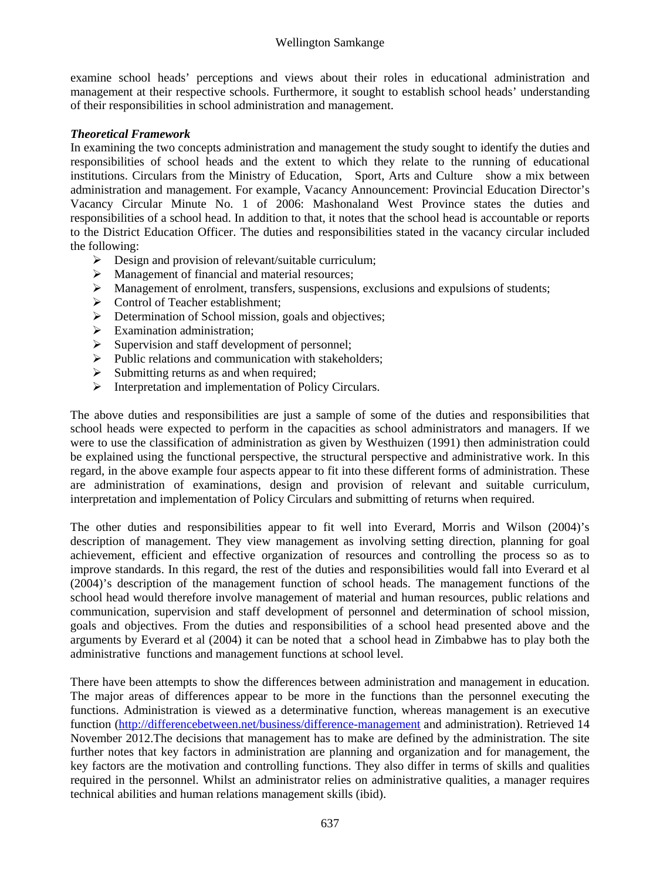examine school heads' perceptions and views about their roles in educational administration and management at their respective schools. Furthermore, it sought to establish school heads' understanding of their responsibilities in school administration and management.

#### *Theoretical Framework*

In examining the two concepts administration and management the study sought to identify the duties and responsibilities of school heads and the extent to which they relate to the running of educational institutions. Circulars from the Ministry of Education, Sport, Arts and Culture show a mix between administration and management. For example, Vacancy Announcement: Provincial Education Director's Vacancy Circular Minute No. 1 of 2006: Mashonaland West Province states the duties and responsibilities of a school head. In addition to that, it notes that the school head is accountable or reports to the District Education Officer. The duties and responsibilities stated in the vacancy circular included the following:

- $\triangleright$  Design and provision of relevant/suitable curriculum;
- > Management of financial and material resources;
- $\triangleright$  Management of enrolment, transfers, suspensions, exclusions and expulsions of students;
- $\triangleright$  Control of Teacher establishment;
- **EXECUTE:** Determination of School mission, goals and objectives;
- $\triangleright$  Examination administration;
- $\triangleright$  Supervision and staff development of personnel;
- $\triangleright$  Public relations and communication with stakeholders;
- $\triangleright$  Submitting returns as and when required;
- $\triangleright$  Interpretation and implementation of Policy Circulars.

The above duties and responsibilities are just a sample of some of the duties and responsibilities that school heads were expected to perform in the capacities as school administrators and managers. If we were to use the classification of administration as given by Westhuizen (1991) then administration could be explained using the functional perspective, the structural perspective and administrative work. In this regard, in the above example four aspects appear to fit into these different forms of administration. These are administration of examinations, design and provision of relevant and suitable curriculum, interpretation and implementation of Policy Circulars and submitting of returns when required.

The other duties and responsibilities appear to fit well into Everard, Morris and Wilson (2004)'s description of management. They view management as involving setting direction, planning for goal achievement, efficient and effective organization of resources and controlling the process so as to improve standards. In this regard, the rest of the duties and responsibilities would fall into Everard et al (2004)'s description of the management function of school heads. The management functions of the school head would therefore involve management of material and human resources, public relations and communication, supervision and staff development of personnel and determination of school mission, goals and objectives. From the duties and responsibilities of a school head presented above and the arguments by Everard et al (2004) it can be noted that a school head in Zimbabwe has to play both the administrative functions and management functions at school level.

There have been attempts to show the differences between administration and management in education. The major areas of differences appear to be more in the functions than the personnel executing the functions. Administration is viewed as a determinative function, whereas management is an executive function (http://differencebetween.net/business/difference-management and administration). Retrieved 14 November 2012.The decisions that management has to make are defined by the administration. The site further notes that key factors in administration are planning and organization and for management, the key factors are the motivation and controlling functions. They also differ in terms of skills and qualities required in the personnel. Whilst an administrator relies on administrative qualities, a manager requires technical abilities and human relations management skills (ibid).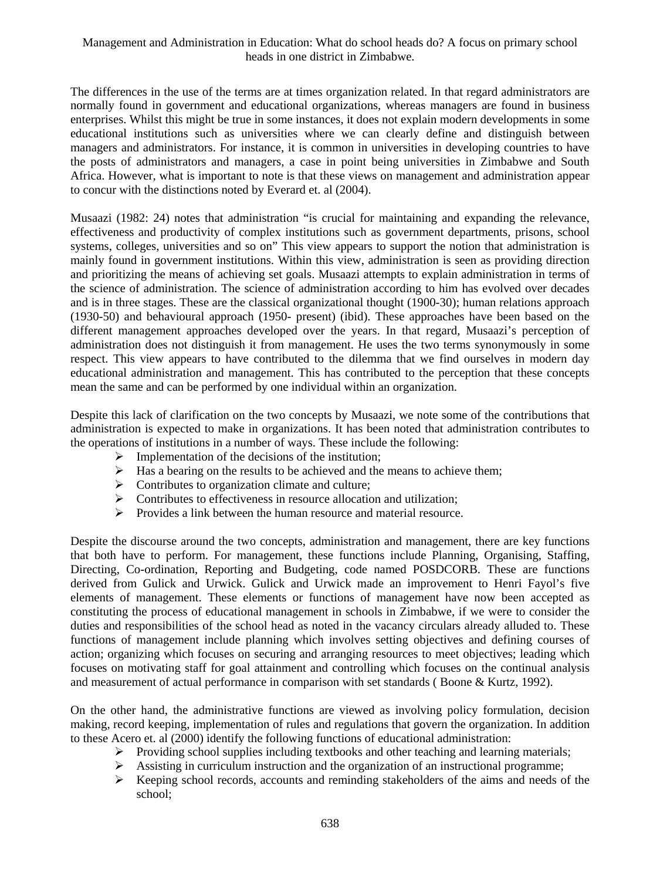The differences in the use of the terms are at times organization related. In that regard administrators are normally found in government and educational organizations, whereas managers are found in business enterprises. Whilst this might be true in some instances, it does not explain modern developments in some educational institutions such as universities where we can clearly define and distinguish between managers and administrators. For instance, it is common in universities in developing countries to have the posts of administrators and managers, a case in point being universities in Zimbabwe and South Africa. However, what is important to note is that these views on management and administration appear to concur with the distinctions noted by Everard et. al (2004).

Musaazi (1982: 24) notes that administration "is crucial for maintaining and expanding the relevance, effectiveness and productivity of complex institutions such as government departments, prisons, school systems, colleges, universities and so on" This view appears to support the notion that administration is mainly found in government institutions. Within this view, administration is seen as providing direction and prioritizing the means of achieving set goals. Musaazi attempts to explain administration in terms of the science of administration. The science of administration according to him has evolved over decades and is in three stages. These are the classical organizational thought (1900-30); human relations approach (1930-50) and behavioural approach (1950- present) (ibid). These approaches have been based on the different management approaches developed over the years. In that regard, Musaazi's perception of administration does not distinguish it from management. He uses the two terms synonymously in some respect. This view appears to have contributed to the dilemma that we find ourselves in modern day educational administration and management. This has contributed to the perception that these concepts mean the same and can be performed by one individual within an organization.

Despite this lack of clarification on the two concepts by Musaazi, we note some of the contributions that administration is expected to make in organizations. It has been noted that administration contributes to the operations of institutions in a number of ways. These include the following:

- $\triangleright$  Implementation of the decisions of the institution;
- $\triangleright$  Has a bearing on the results to be achieved and the means to achieve them;
- $\triangleright$  Contributes to organization climate and culture;
- $\triangleright$  Contributes to effectiveness in resource allocation and utilization;
- Provides a link between the human resource and material resource.

Despite the discourse around the two concepts, administration and management, there are key functions that both have to perform. For management, these functions include Planning, Organising, Staffing, Directing, Co-ordination, Reporting and Budgeting, code named POSDCORB. These are functions derived from Gulick and Urwick. Gulick and Urwick made an improvement to Henri Fayol's five elements of management. These elements or functions of management have now been accepted as constituting the process of educational management in schools in Zimbabwe, if we were to consider the duties and responsibilities of the school head as noted in the vacancy circulars already alluded to. These functions of management include planning which involves setting objectives and defining courses of action; organizing which focuses on securing and arranging resources to meet objectives; leading which focuses on motivating staff for goal attainment and controlling which focuses on the continual analysis and measurement of actual performance in comparison with set standards (Boone & Kurtz, 1992).

On the other hand, the administrative functions are viewed as involving policy formulation, decision making, record keeping, implementation of rules and regulations that govern the organization. In addition to these Acero et. al (2000) identify the following functions of educational administration:

- $\triangleright$  Providing school supplies including textbooks and other teaching and learning materials;
- $\triangleright$  Assisting in curriculum instruction and the organization of an instructional programme;
- $\triangleright$  Keeping school records, accounts and reminding stakeholders of the aims and needs of the school;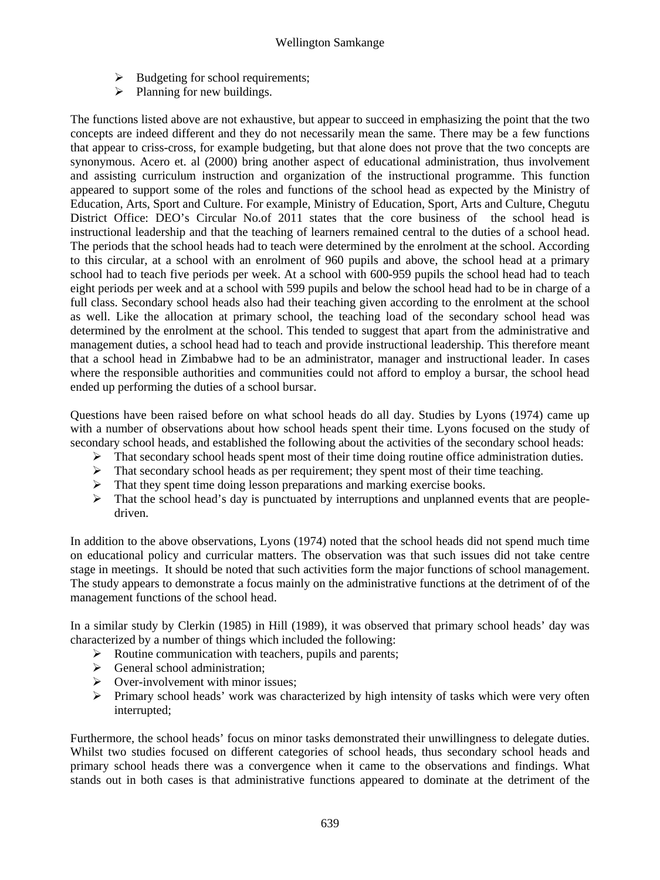- $\triangleright$  Budgeting for school requirements;
- $\triangleright$  Planning for new buildings.

The functions listed above are not exhaustive, but appear to succeed in emphasizing the point that the two concepts are indeed different and they do not necessarily mean the same. There may be a few functions that appear to criss-cross, for example budgeting, but that alone does not prove that the two concepts are synonymous. Acero et. al (2000) bring another aspect of educational administration, thus involvement and assisting curriculum instruction and organization of the instructional programme. This function appeared to support some of the roles and functions of the school head as expected by the Ministry of Education, Arts, Sport and Culture. For example, Ministry of Education, Sport, Arts and Culture, Chegutu District Office: DEO's Circular No.of 2011 states that the core business of the school head is instructional leadership and that the teaching of learners remained central to the duties of a school head. The periods that the school heads had to teach were determined by the enrolment at the school. According to this circular, at a school with an enrolment of 960 pupils and above, the school head at a primary school had to teach five periods per week. At a school with 600-959 pupils the school head had to teach eight periods per week and at a school with 599 pupils and below the school head had to be in charge of a full class. Secondary school heads also had their teaching given according to the enrolment at the school as well. Like the allocation at primary school, the teaching load of the secondary school head was determined by the enrolment at the school. This tended to suggest that apart from the administrative and management duties, a school head had to teach and provide instructional leadership. This therefore meant that a school head in Zimbabwe had to be an administrator, manager and instructional leader. In cases where the responsible authorities and communities could not afford to employ a bursar, the school head ended up performing the duties of a school bursar.

Questions have been raised before on what school heads do all day. Studies by Lyons (1974) came up with a number of observations about how school heads spent their time. Lyons focused on the study of secondary school heads, and established the following about the activities of the secondary school heads:

- That secondary school heads spent most of their time doing routine office administration duties.
- $\triangleright$  That secondary school heads as per requirement; they spent most of their time teaching.
- $\triangleright$  That they spent time doing lesson preparations and marking exercise books.
- $\triangleright$  That the school head's day is punctuated by interruptions and unplanned events that are peopledriven.

In addition to the above observations, Lyons (1974) noted that the school heads did not spend much time on educational policy and curricular matters. The observation was that such issues did not take centre stage in meetings. It should be noted that such activities form the major functions of school management. The study appears to demonstrate a focus mainly on the administrative functions at the detriment of of the management functions of the school head.

In a similar study by Clerkin (1985) in Hill (1989), it was observed that primary school heads' day was characterized by a number of things which included the following:

- $\triangleright$  Routine communication with teachers, pupils and parents;
- $\triangleright$  General school administration:
- $\triangleright$  Over-involvement with minor issues:
- $\triangleright$  Primary school heads' work was characterized by high intensity of tasks which were very often interrupted;

Furthermore, the school heads' focus on minor tasks demonstrated their unwillingness to delegate duties. Whilst two studies focused on different categories of school heads, thus secondary school heads and primary school heads there was a convergence when it came to the observations and findings. What stands out in both cases is that administrative functions appeared to dominate at the detriment of the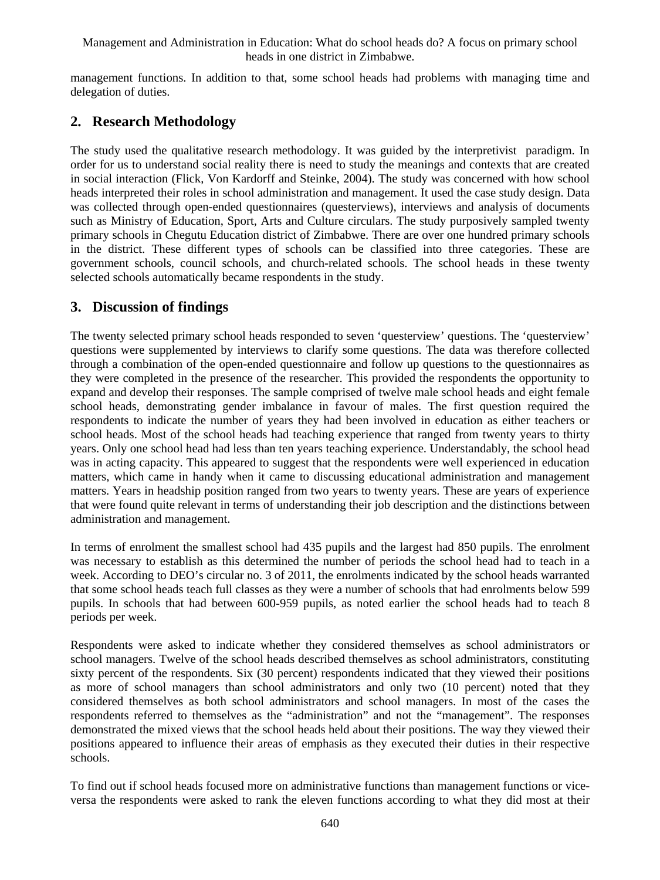management functions. In addition to that, some school heads had problems with managing time and delegation of duties.

# **2. Research Methodology**

The study used the qualitative research methodology. It was guided by the interpretivist paradigm. In order for us to understand social reality there is need to study the meanings and contexts that are created in social interaction (Flick, Von Kardorff and Steinke, 2004). The study was concerned with how school heads interpreted their roles in school administration and management. It used the case study design. Data was collected through open-ended questionnaires (questerviews), interviews and analysis of documents such as Ministry of Education, Sport, Arts and Culture circulars. The study purposively sampled twenty primary schools in Chegutu Education district of Zimbabwe. There are over one hundred primary schools in the district. These different types of schools can be classified into three categories. These are government schools, council schools, and church-related schools. The school heads in these twenty selected schools automatically became respondents in the study.

# **3. Discussion of findings**

The twenty selected primary school heads responded to seven 'questerview' questions. The 'questerview' questions were supplemented by interviews to clarify some questions. The data was therefore collected through a combination of the open-ended questionnaire and follow up questions to the questionnaires as they were completed in the presence of the researcher. This provided the respondents the opportunity to expand and develop their responses. The sample comprised of twelve male school heads and eight female school heads, demonstrating gender imbalance in favour of males. The first question required the respondents to indicate the number of years they had been involved in education as either teachers or school heads. Most of the school heads had teaching experience that ranged from twenty years to thirty years. Only one school head had less than ten years teaching experience. Understandably, the school head was in acting capacity. This appeared to suggest that the respondents were well experienced in education matters, which came in handy when it came to discussing educational administration and management matters. Years in headship position ranged from two years to twenty years. These are years of experience that were found quite relevant in terms of understanding their job description and the distinctions between administration and management.

In terms of enrolment the smallest school had 435 pupils and the largest had 850 pupils. The enrolment was necessary to establish as this determined the number of periods the school head had to teach in a week. According to DEO's circular no. 3 of 2011, the enrolments indicated by the school heads warranted that some school heads teach full classes as they were a number of schools that had enrolments below 599 pupils. In schools that had between 600-959 pupils, as noted earlier the school heads had to teach 8 periods per week.

Respondents were asked to indicate whether they considered themselves as school administrators or school managers. Twelve of the school heads described themselves as school administrators, constituting sixty percent of the respondents. Six (30 percent) respondents indicated that they viewed their positions as more of school managers than school administrators and only two (10 percent) noted that they considered themselves as both school administrators and school managers. In most of the cases the respondents referred to themselves as the "administration" and not the "management". The responses demonstrated the mixed views that the school heads held about their positions. The way they viewed their positions appeared to influence their areas of emphasis as they executed their duties in their respective schools.

To find out if school heads focused more on administrative functions than management functions or viceversa the respondents were asked to rank the eleven functions according to what they did most at their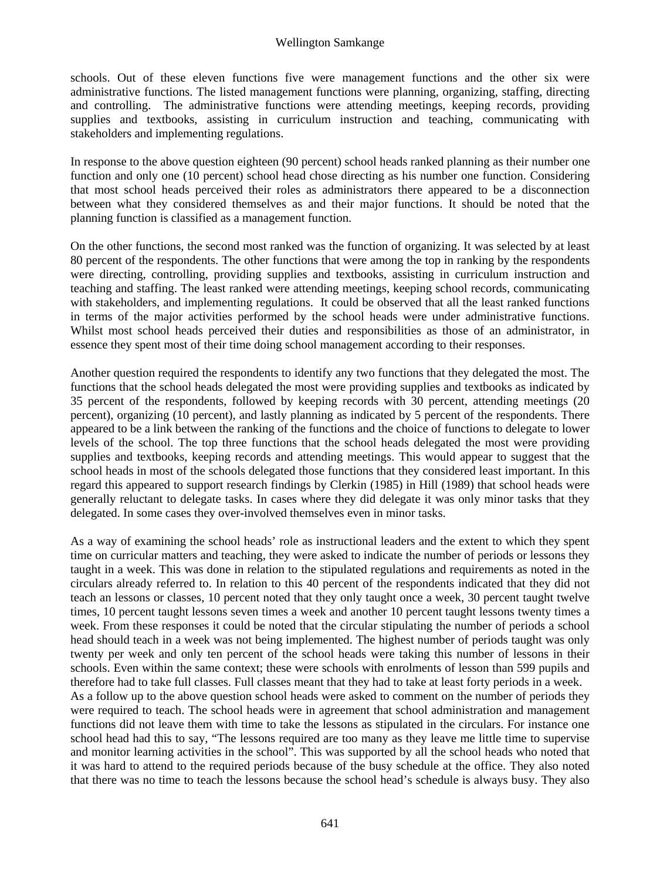schools. Out of these eleven functions five were management functions and the other six were administrative functions. The listed management functions were planning, organizing, staffing, directing and controlling. The administrative functions were attending meetings, keeping records, providing supplies and textbooks, assisting in curriculum instruction and teaching, communicating with stakeholders and implementing regulations.

In response to the above question eighteen (90 percent) school heads ranked planning as their number one function and only one (10 percent) school head chose directing as his number one function. Considering that most school heads perceived their roles as administrators there appeared to be a disconnection between what they considered themselves as and their major functions. It should be noted that the planning function is classified as a management function.

On the other functions, the second most ranked was the function of organizing. It was selected by at least 80 percent of the respondents. The other functions that were among the top in ranking by the respondents were directing, controlling, providing supplies and textbooks, assisting in curriculum instruction and teaching and staffing. The least ranked were attending meetings, keeping school records, communicating with stakeholders, and implementing regulations. It could be observed that all the least ranked functions in terms of the major activities performed by the school heads were under administrative functions. Whilst most school heads perceived their duties and responsibilities as those of an administrator, in essence they spent most of their time doing school management according to their responses.

Another question required the respondents to identify any two functions that they delegated the most. The functions that the school heads delegated the most were providing supplies and textbooks as indicated by 35 percent of the respondents, followed by keeping records with 30 percent, attending meetings (20 percent), organizing (10 percent), and lastly planning as indicated by 5 percent of the respondents. There appeared to be a link between the ranking of the functions and the choice of functions to delegate to lower levels of the school. The top three functions that the school heads delegated the most were providing supplies and textbooks, keeping records and attending meetings. This would appear to suggest that the school heads in most of the schools delegated those functions that they considered least important. In this regard this appeared to support research findings by Clerkin (1985) in Hill (1989) that school heads were generally reluctant to delegate tasks. In cases where they did delegate it was only minor tasks that they delegated. In some cases they over-involved themselves even in minor tasks.

As a way of examining the school heads' role as instructional leaders and the extent to which they spent time on curricular matters and teaching, they were asked to indicate the number of periods or lessons they taught in a week. This was done in relation to the stipulated regulations and requirements as noted in the circulars already referred to. In relation to this 40 percent of the respondents indicated that they did not teach an lessons or classes, 10 percent noted that they only taught once a week, 30 percent taught twelve times, 10 percent taught lessons seven times a week and another 10 percent taught lessons twenty times a week. From these responses it could be noted that the circular stipulating the number of periods a school head should teach in a week was not being implemented. The highest number of periods taught was only twenty per week and only ten percent of the school heads were taking this number of lessons in their schools. Even within the same context; these were schools with enrolments of lesson than 599 pupils and therefore had to take full classes. Full classes meant that they had to take at least forty periods in a week. As a follow up to the above question school heads were asked to comment on the number of periods they were required to teach. The school heads were in agreement that school administration and management functions did not leave them with time to take the lessons as stipulated in the circulars. For instance one school head had this to say, "The lessons required are too many as they leave me little time to supervise and monitor learning activities in the school". This was supported by all the school heads who noted that it was hard to attend to the required periods because of the busy schedule at the office. They also noted that there was no time to teach the lessons because the school head's schedule is always busy. They also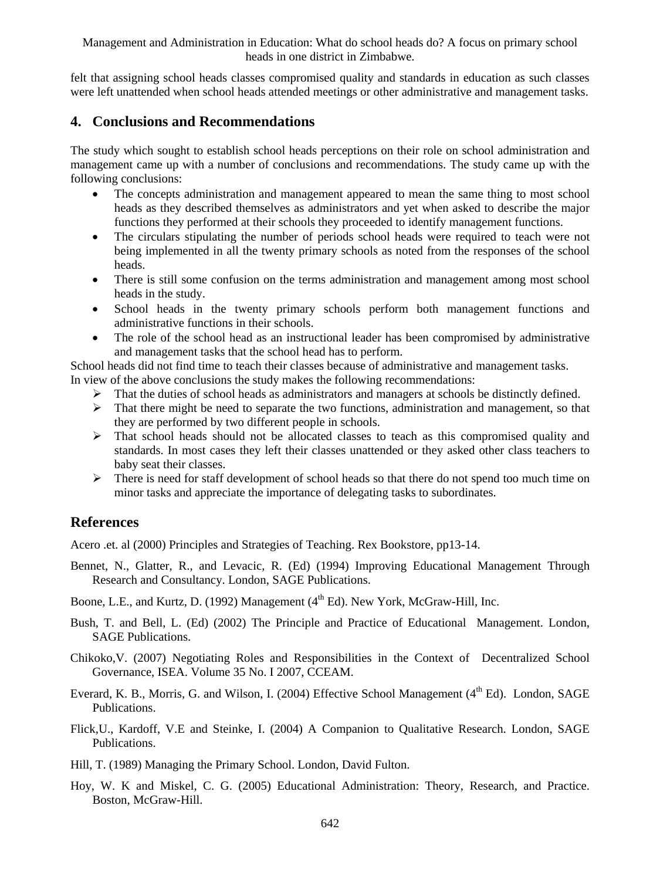felt that assigning school heads classes compromised quality and standards in education as such classes were left unattended when school heads attended meetings or other administrative and management tasks.

### **4. Conclusions and Recommendations**

The study which sought to establish school heads perceptions on their role on school administration and management came up with a number of conclusions and recommendations. The study came up with the following conclusions:

- The concepts administration and management appeared to mean the same thing to most school heads as they described themselves as administrators and yet when asked to describe the major functions they performed at their schools they proceeded to identify management functions.
- The circulars stipulating the number of periods school heads were required to teach were not being implemented in all the twenty primary schools as noted from the responses of the school heads.
- There is still some confusion on the terms administration and management among most school heads in the study.
- School heads in the twenty primary schools perform both management functions and administrative functions in their schools.
- The role of the school head as an instructional leader has been compromised by administrative and management tasks that the school head has to perform.

School heads did not find time to teach their classes because of administrative and management tasks. In view of the above conclusions the study makes the following recommendations:

- $\triangleright$  That the duties of school heads as administrators and managers at schools be distinctly defined.
- $\triangleright$  That there might be need to separate the two functions, administration and management, so that they are performed by two different people in schools.
- $\triangleright$  That school heads should not be allocated classes to teach as this compromised quality and standards. In most cases they left their classes unattended or they asked other class teachers to baby seat their classes.
- $\triangleright$  There is need for staff development of school heads so that there do not spend too much time on minor tasks and appreciate the importance of delegating tasks to subordinates.

# **References**

Acero .et. al (2000) Principles and Strategies of Teaching. Rex Bookstore, pp13-14.

- Bennet, N., Glatter, R., and Levacic, R. (Ed) (1994) Improving Educational Management Through Research and Consultancy. London, SAGE Publications.
- Boone, L.E., and Kurtz, D. (1992) Management (4<sup>th</sup> Ed). New York, McGraw-Hill, Inc.
- Bush, T. and Bell, L. (Ed) (2002) The Principle and Practice of Educational Management. London, SAGE Publications.
- Chikoko,V. (2007) Negotiating Roles and Responsibilities in the Context of Decentralized School Governance, ISEA. Volume 35 No. I 2007, CCEAM.
- Everard, K. B., Morris, G. and Wilson, I. (2004) Effective School Management (4<sup>th</sup> Ed). London, SAGE Publications.
- Flick,U., Kardoff, V.E and Steinke, I. (2004) A Companion to Qualitative Research. London, SAGE Publications.
- Hill, T. (1989) Managing the Primary School. London, David Fulton.
- Hoy, W. K and Miskel, C. G. (2005) Educational Administration: Theory, Research, and Practice. Boston, McGraw-Hill.